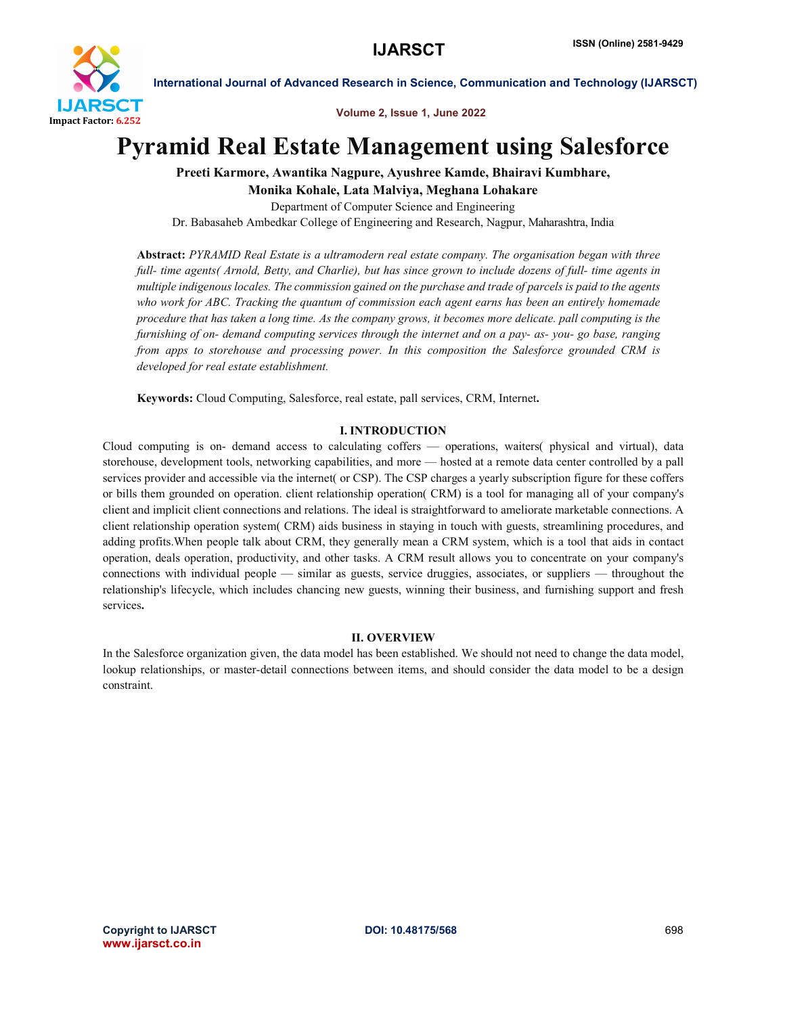

Volume 2, Issue 1, June 2022

# Pyramid Real Estate Management using Salesforce

Preeti Karmore, Awantika Nagpure, Ayushree Kamde, Bhairavi Kumbhare,

Monika Kohale, Lata Malviya, Meghana Lohakare

Department of Computer Science and Engineering

Dr. Babasaheb Ambedkar College of Engineering and Research, Nagpur, Maharashtra, India

Abstract: *PYRAMID Real Estate is a ultramodern real estate company. The organisation began with three full- time agents( Arnold, Betty, and Charlie), but has since grown to include dozens of full- time agents in multiple indigenous locales. The commission gained on the purchase and trade of parcels is paid to the agents who work for ABC. Tracking the quantum of commission each agent earns has been an entirely homemade procedure that has taken a long time. As the company grows, it becomes more delicate. pall computing is the furnishing of on- demand computing services through the internet and on a pay- as- you- go base, ranging from apps to storehouse and processing power. In this composition the Salesforce grounded CRM is developed for real estate establishment.*

Keywords: Cloud Computing, Salesforce, real estate, pall services, CRM, Internet.

# I. INTRODUCTION

Cloud computing is on- demand access to calculating coffers — operations, waiters( physical and virtual), data storehouse, development tools, networking capabilities, and more — hosted at a remote data center controlled by a pall services provider and accessible via the internet( or CSP). The CSP charges a yearly subscription figure for these coffers or bills them grounded on operation. client relationship operation( CRM) is a tool for managing all of your company's client and implicit client connections and relations. The ideal is straightforward to ameliorate marketable connections. A client relationship operation system( CRM) aids business in staying in touch with guests, streamlining procedures, and adding profits.When people talk about CRM, they generally mean a CRM system, which is a tool that aids in contact operation, deals operation, productivity, and other tasks. A CRM result allows you to concentrate on your company's connections with individual people — similar as guests, service druggies, associates, or suppliers — throughout the relationship's lifecycle, which includes chancing new guests, winning their business, and furnishing support and fresh services.

#### II. OVERVIEW

In the Salesforce organization given, the data model has been established. We should not need to change the data model, lookup relationships, or master-detail connections between items, and should consider the data model to be a design constraint.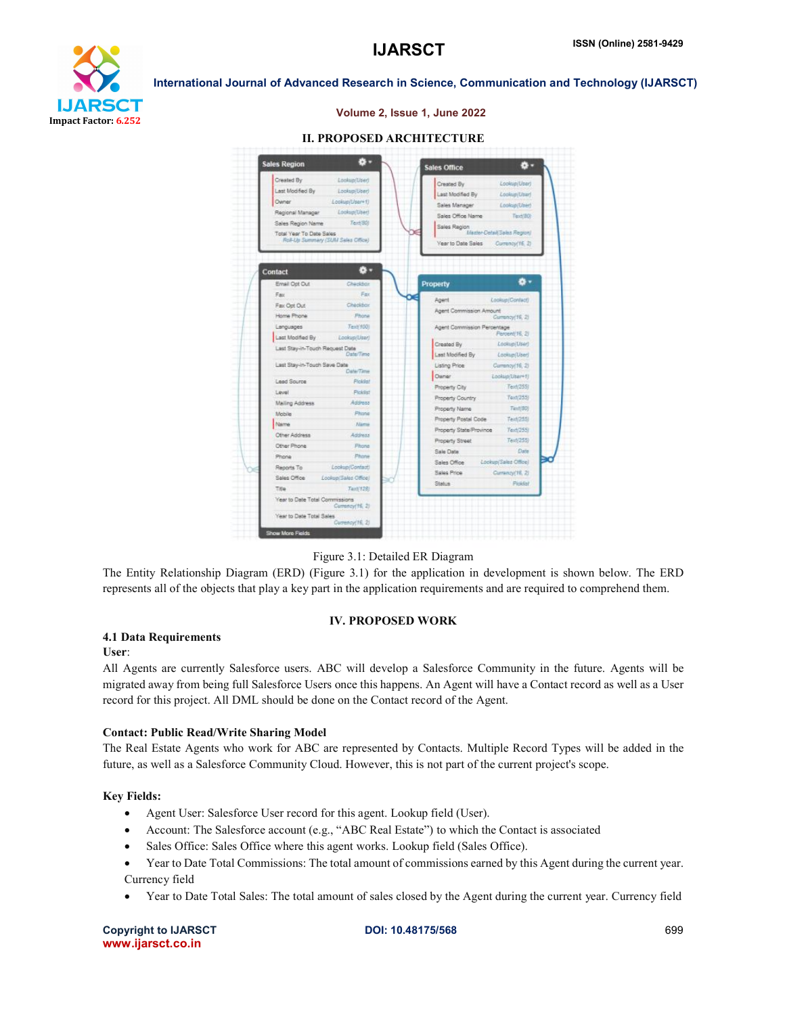

#### Volume 2, Issue 1, June 2022

| Lookup(User)<br>Created By<br>Last Modified By<br>Lookup (User)<br>Last Modified By<br>Lookup/Usar!<br>Owner<br>Lookup(User+1)<br>Sales Manager<br>Lookup/User)<br>Lookup/User!<br>Regional Manager<br>Sales Office Name<br>Text/80t<br>Text(80)<br>Sales Region Name<br>Sales Region<br>Mester-Detail: Sales Region/<br>Total Year To Date Sales<br>Roll-Up Summary (SUM Sales Office)<br><b>Year to Date Sales</b><br>Currency(16, 2)<br>츊.<br>Contact<br>۰ ت<br>Ernail Opt Out<br>Checkbox<br>Property<br>Fax<br>Fax<br>Agent<br>Lookup(Confact)<br>Checkbox<br>Fax Opt Out<br>Agent Commission Amount<br>Home Phone<br>Phone<br>Currancy(16, 2)<br>Text/1001<br>Languages<br>Agent Commission Percentage<br>Percent(16, 2)<br>Last Modified By<br>Lookup/Lisar)<br>Created By<br>Lookup/User)<br>Last Stay-in-Touch Request Date<br>Date/Time<br>Last Modified By<br>Lookup(User)<br>Last Stay-in-Touch Save Date<br>Listing Price<br>Currancy(16, 2)<br>Date/Time<br>Owner<br>Lookup/Lisar+1<br>Lead Source<br>Picklist<br>Teld(255)<br>Property City<br>Picklist<br>Level<br>Text(255)<br>Property Country<br>Address<br>Mailing Address<br>Text(80)<br>Property Name<br>Phone<br>Mobile<br>Teid(255)<br>Property Postal Code<br>Name<br><b>Atama</b><br>Property State/Province<br>Text(255)<br>Other Address<br>Address<br>Text/255)<br>Property Street<br>Other Phone<br>Phone<br>Date<br>Sale Date<br>Phone<br>Phone<br>Lookup/Sales Office)<br>Sales Office<br>Lookup/Contact)<br>Reports To<br>Sales Price<br>Currancy(16, 2)<br>Sales Office<br>Lookup/Sales Office)<br>Picklai<br>Status<br>Title<br>Text(128) | Created By                     | Lookun/User! |  |
|------------------------------------------------------------------------------------------------------------------------------------------------------------------------------------------------------------------------------------------------------------------------------------------------------------------------------------------------------------------------------------------------------------------------------------------------------------------------------------------------------------------------------------------------------------------------------------------------------------------------------------------------------------------------------------------------------------------------------------------------------------------------------------------------------------------------------------------------------------------------------------------------------------------------------------------------------------------------------------------------------------------------------------------------------------------------------------------------------------------------------------------------------------------------------------------------------------------------------------------------------------------------------------------------------------------------------------------------------------------------------------------------------------------------------------------------------------------------------------------------------------------------------------------------------------------------------------------------------------------------------|--------------------------------|--------------|--|
|                                                                                                                                                                                                                                                                                                                                                                                                                                                                                                                                                                                                                                                                                                                                                                                                                                                                                                                                                                                                                                                                                                                                                                                                                                                                                                                                                                                                                                                                                                                                                                                                                              |                                |              |  |
|                                                                                                                                                                                                                                                                                                                                                                                                                                                                                                                                                                                                                                                                                                                                                                                                                                                                                                                                                                                                                                                                                                                                                                                                                                                                                                                                                                                                                                                                                                                                                                                                                              |                                |              |  |
|                                                                                                                                                                                                                                                                                                                                                                                                                                                                                                                                                                                                                                                                                                                                                                                                                                                                                                                                                                                                                                                                                                                                                                                                                                                                                                                                                                                                                                                                                                                                                                                                                              |                                |              |  |
|                                                                                                                                                                                                                                                                                                                                                                                                                                                                                                                                                                                                                                                                                                                                                                                                                                                                                                                                                                                                                                                                                                                                                                                                                                                                                                                                                                                                                                                                                                                                                                                                                              |                                |              |  |
|                                                                                                                                                                                                                                                                                                                                                                                                                                                                                                                                                                                                                                                                                                                                                                                                                                                                                                                                                                                                                                                                                                                                                                                                                                                                                                                                                                                                                                                                                                                                                                                                                              |                                |              |  |
|                                                                                                                                                                                                                                                                                                                                                                                                                                                                                                                                                                                                                                                                                                                                                                                                                                                                                                                                                                                                                                                                                                                                                                                                                                                                                                                                                                                                                                                                                                                                                                                                                              |                                |              |  |
|                                                                                                                                                                                                                                                                                                                                                                                                                                                                                                                                                                                                                                                                                                                                                                                                                                                                                                                                                                                                                                                                                                                                                                                                                                                                                                                                                                                                                                                                                                                                                                                                                              |                                |              |  |
|                                                                                                                                                                                                                                                                                                                                                                                                                                                                                                                                                                                                                                                                                                                                                                                                                                                                                                                                                                                                                                                                                                                                                                                                                                                                                                                                                                                                                                                                                                                                                                                                                              |                                |              |  |
|                                                                                                                                                                                                                                                                                                                                                                                                                                                                                                                                                                                                                                                                                                                                                                                                                                                                                                                                                                                                                                                                                                                                                                                                                                                                                                                                                                                                                                                                                                                                                                                                                              |                                |              |  |
|                                                                                                                                                                                                                                                                                                                                                                                                                                                                                                                                                                                                                                                                                                                                                                                                                                                                                                                                                                                                                                                                                                                                                                                                                                                                                                                                                                                                                                                                                                                                                                                                                              |                                |              |  |
|                                                                                                                                                                                                                                                                                                                                                                                                                                                                                                                                                                                                                                                                                                                                                                                                                                                                                                                                                                                                                                                                                                                                                                                                                                                                                                                                                                                                                                                                                                                                                                                                                              |                                |              |  |
|                                                                                                                                                                                                                                                                                                                                                                                                                                                                                                                                                                                                                                                                                                                                                                                                                                                                                                                                                                                                                                                                                                                                                                                                                                                                                                                                                                                                                                                                                                                                                                                                                              |                                |              |  |
|                                                                                                                                                                                                                                                                                                                                                                                                                                                                                                                                                                                                                                                                                                                                                                                                                                                                                                                                                                                                                                                                                                                                                                                                                                                                                                                                                                                                                                                                                                                                                                                                                              |                                |              |  |
|                                                                                                                                                                                                                                                                                                                                                                                                                                                                                                                                                                                                                                                                                                                                                                                                                                                                                                                                                                                                                                                                                                                                                                                                                                                                                                                                                                                                                                                                                                                                                                                                                              |                                |              |  |
|                                                                                                                                                                                                                                                                                                                                                                                                                                                                                                                                                                                                                                                                                                                                                                                                                                                                                                                                                                                                                                                                                                                                                                                                                                                                                                                                                                                                                                                                                                                                                                                                                              |                                |              |  |
|                                                                                                                                                                                                                                                                                                                                                                                                                                                                                                                                                                                                                                                                                                                                                                                                                                                                                                                                                                                                                                                                                                                                                                                                                                                                                                                                                                                                                                                                                                                                                                                                                              |                                |              |  |
|                                                                                                                                                                                                                                                                                                                                                                                                                                                                                                                                                                                                                                                                                                                                                                                                                                                                                                                                                                                                                                                                                                                                                                                                                                                                                                                                                                                                                                                                                                                                                                                                                              |                                |              |  |
|                                                                                                                                                                                                                                                                                                                                                                                                                                                                                                                                                                                                                                                                                                                                                                                                                                                                                                                                                                                                                                                                                                                                                                                                                                                                                                                                                                                                                                                                                                                                                                                                                              |                                |              |  |
|                                                                                                                                                                                                                                                                                                                                                                                                                                                                                                                                                                                                                                                                                                                                                                                                                                                                                                                                                                                                                                                                                                                                                                                                                                                                                                                                                                                                                                                                                                                                                                                                                              |                                |              |  |
|                                                                                                                                                                                                                                                                                                                                                                                                                                                                                                                                                                                                                                                                                                                                                                                                                                                                                                                                                                                                                                                                                                                                                                                                                                                                                                                                                                                                                                                                                                                                                                                                                              |                                |              |  |
|                                                                                                                                                                                                                                                                                                                                                                                                                                                                                                                                                                                                                                                                                                                                                                                                                                                                                                                                                                                                                                                                                                                                                                                                                                                                                                                                                                                                                                                                                                                                                                                                                              |                                |              |  |
|                                                                                                                                                                                                                                                                                                                                                                                                                                                                                                                                                                                                                                                                                                                                                                                                                                                                                                                                                                                                                                                                                                                                                                                                                                                                                                                                                                                                                                                                                                                                                                                                                              |                                |              |  |
|                                                                                                                                                                                                                                                                                                                                                                                                                                                                                                                                                                                                                                                                                                                                                                                                                                                                                                                                                                                                                                                                                                                                                                                                                                                                                                                                                                                                                                                                                                                                                                                                                              |                                |              |  |
|                                                                                                                                                                                                                                                                                                                                                                                                                                                                                                                                                                                                                                                                                                                                                                                                                                                                                                                                                                                                                                                                                                                                                                                                                                                                                                                                                                                                                                                                                                                                                                                                                              |                                |              |  |
|                                                                                                                                                                                                                                                                                                                                                                                                                                                                                                                                                                                                                                                                                                                                                                                                                                                                                                                                                                                                                                                                                                                                                                                                                                                                                                                                                                                                                                                                                                                                                                                                                              |                                |              |  |
|                                                                                                                                                                                                                                                                                                                                                                                                                                                                                                                                                                                                                                                                                                                                                                                                                                                                                                                                                                                                                                                                                                                                                                                                                                                                                                                                                                                                                                                                                                                                                                                                                              |                                |              |  |
|                                                                                                                                                                                                                                                                                                                                                                                                                                                                                                                                                                                                                                                                                                                                                                                                                                                                                                                                                                                                                                                                                                                                                                                                                                                                                                                                                                                                                                                                                                                                                                                                                              |                                |              |  |
| Currency(15, 2)                                                                                                                                                                                                                                                                                                                                                                                                                                                                                                                                                                                                                                                                                                                                                                                                                                                                                                                                                                                                                                                                                                                                                                                                                                                                                                                                                                                                                                                                                                                                                                                                              | Year to Date Total Commissions |              |  |

#### II. PROPOSED ARCHITECTURE

Figure 3.1: Detailed ER Diagram

The Entity Relationship Diagram (ERD) (Figure 3.1) for the application in development is shown below. The ERD represents all of the objects that play a key part in the application requirements and are required to comprehend them.

#### IV. PROPOSED WORK

#### 4.1 Data Requirements

#### User:

All Agents are currently Salesforce users. ABC will develop a Salesforce Community in the future. Agents will be migrated away from being full Salesforce Users once this happens. An Agent will have a Contact record as well as a User record for this project. All DML should be done on the Contact record of the Agent.

#### Contact: Public Read/Write Sharing Model

The Real Estate Agents who work for ABC are represented by Contacts. Multiple Record Types will be added in the future, as well as a Salesforce Community Cloud. However, this is not part of the current project's scope.

#### Key Fields:

- Agent User: Salesforce User record for this agent. Lookup field (User).
- Account: The Salesforce account (e.g., "ABC Real Estate") to which the Contact is associated
- Sales Office: Sales Office where this agent works. Lookup field (Sales Office).
- Year to Date Total Commissions: The total amount of commissions earned by this Agent during the current year. Currency field
- Year to Date Total Sales: The total amount of sales closed by the Agent during the current year. Currency field

Copyright to IJARSCT **DOI: 10.48175/568** 699 www.ijarsct.co.in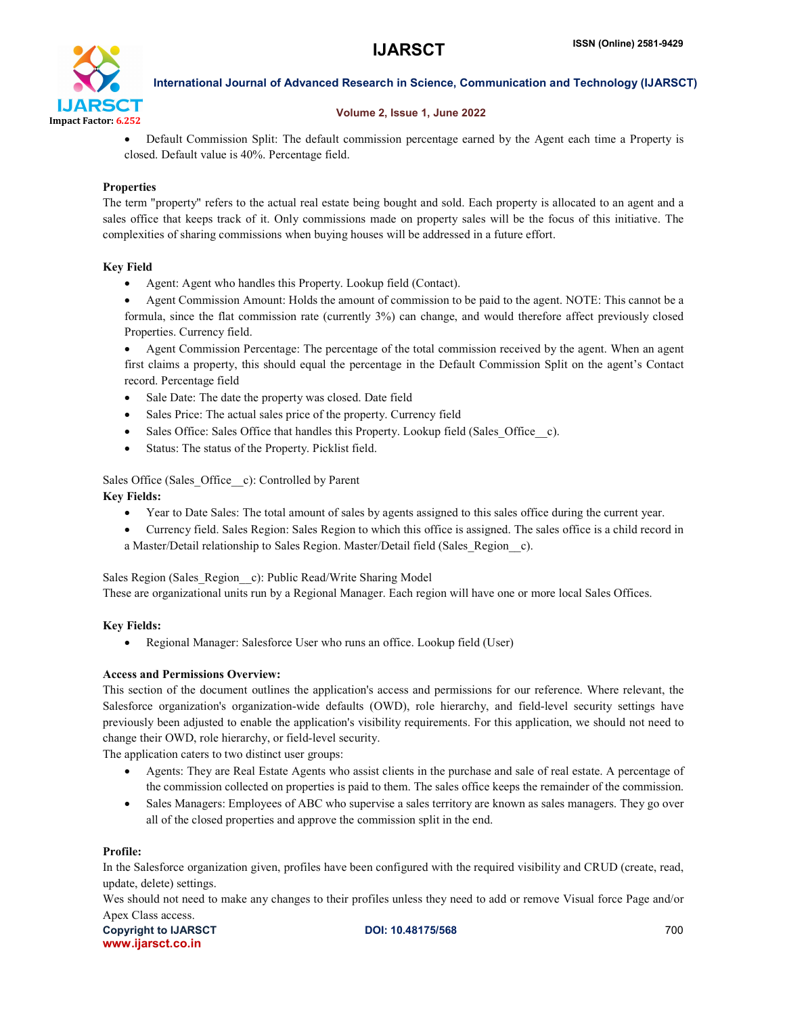

# Volume 2, Issue 1, June 2022

 Default Commission Split: The default commission percentage earned by the Agent each time a Property is closed. Default value is 40%. Percentage field.

# **Properties**

The term "property" refers to the actual real estate being bought and sold. Each property is allocated to an agent and a sales office that keeps track of it. Only commissions made on property sales will be the focus of this initiative. The complexities of sharing commissions when buying houses will be addressed in a future effort.

# Key Field

- Agent: Agent who handles this Property. Lookup field (Contact).
- Agent Commission Amount: Holds the amount of commission to be paid to the agent. NOTE: This cannot be a formula, since the flat commission rate (currently 3%) can change, and would therefore affect previously closed Properties. Currency field.

 Agent Commission Percentage: The percentage of the total commission received by the agent. When an agent first claims a property, this should equal the percentage in the Default Commission Split on the agent's Contact record. Percentage field

- Sale Date: The date the property was closed. Date field
- Sales Price: The actual sales price of the property. Currency field
- Sales Office: Sales Office that handles this Property. Lookup field (Sales Office c).
- Status: The status of the Property. Picklist field.

Sales Office (Sales\_Office\_\_c): Controlled by Parent Key Fields:

- Year to Date Sales: The total amount of sales by agents assigned to this sales office during the current year.
- Currency field. Sales Region: Sales Region to which this office is assigned. The sales office is a child record in a Master/Detail relationship to Sales Region. Master/Detail field (Sales\_Region\_\_c).

Sales Region (Sales Region c): Public Read/Write Sharing Model

These are organizational units run by a Regional Manager. Each region will have one or more local Sales Offices.

# Key Fields:

Regional Manager: Salesforce User who runs an office. Lookup field (User)

# Access and Permissions Overview:

This section of the document outlines the application's access and permissions for our reference. Where relevant, the Salesforce organization's organization-wide defaults (OWD), role hierarchy, and field-level security settings have previously been adjusted to enable the application's visibility requirements. For this application, we should not need to change their OWD, role hierarchy, or field-level security.

The application caters to two distinct user groups:

- Agents: They are Real Estate Agents who assist clients in the purchase and sale of real estate. A percentage of the commission collected on properties is paid to them. The sales office keeps the remainder of the commission.
- Sales Managers: Employees of ABC who supervise a sales territory are known as sales managers. They go over all of the closed properties and approve the commission split in the end.

# Profile:

In the Salesforce organization given, profiles have been configured with the required visibility and CRUD (create, read, update, delete) settings.

Wes should not need to make any changes to their profiles unless they need to add or remove Visual force Page and/or Apex Class access.

Copyright to IJARSCT **DOI: 10.48175/568 Copyright to IJARSCT** 700 www.ijarsct.co.in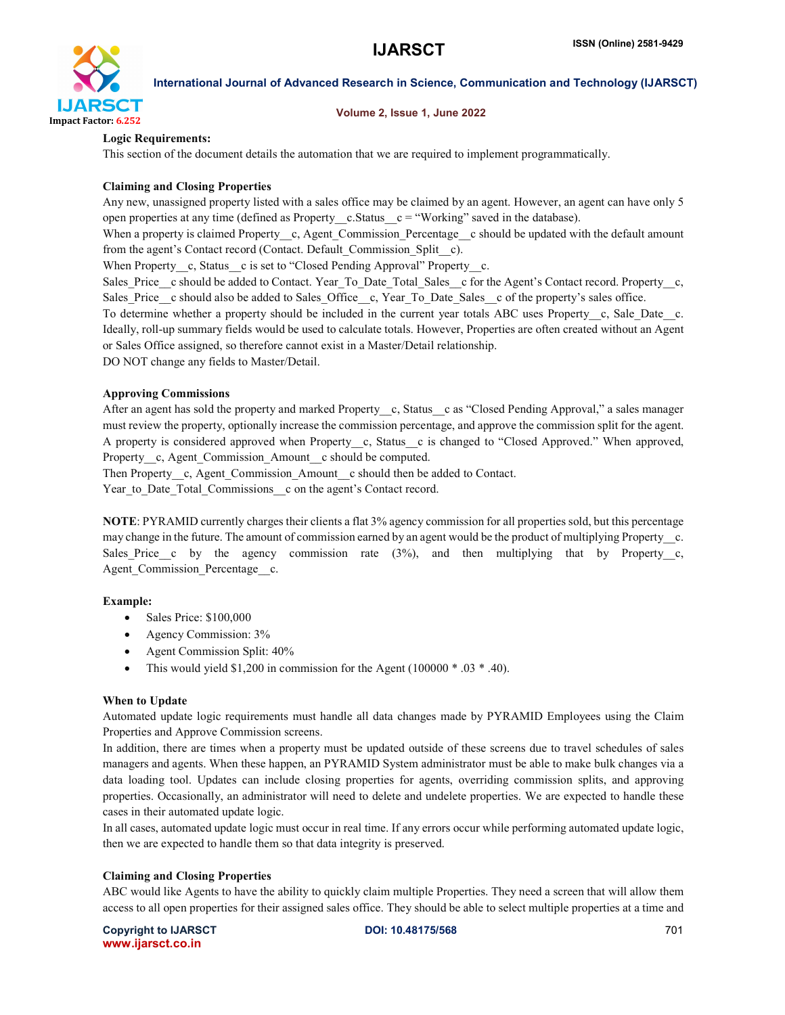

#### Volume 2, Issue 1, June 2022

### Logic Requirements:

This section of the document details the automation that we are required to implement programmatically.

#### Claiming and Closing Properties

Any new, unassigned property listed with a sales office may be claimed by an agent. However, an agent can have only 5 open properties at any time (defined as Property  $c$ . Status  $c =$  "Working" saved in the database).

When a property is claimed Property\_c, Agent Commission Percentage c should be updated with the default amount from the agent's Contact record (Contact. Default\_Commission\_Split\_\_c).

When Property c, Status c is set to "Closed Pending Approval" Property c.

Sales Price c should be added to Contact. Year To Date Total Sales c for the Agent's Contact record. Property c, Sales Price c should also be added to Sales Office c, Year To Date Sales c of the property's sales office.

To determine whether a property should be included in the current year totals ABC uses Property c, Sale Date c. Ideally, roll-up summary fields would be used to calculate totals. However, Properties are often created without an Agent or Sales Office assigned, so therefore cannot exist in a Master/Detail relationship.

DO NOT change any fields to Master/Detail.

#### Approving Commissions

After an agent has sold the property and marked Property c, Status c as "Closed Pending Approval," a sales manager must review the property, optionally increase the commission percentage, and approve the commission split for the agent. A property is considered approved when Property c, Status c is changed to "Closed Approved." When approved, Property c, Agent Commission Amount c should be computed.

Then Property c, Agent Commission Amount c should then be added to Contact.

Year to Date Total Commissions c on the agent's Contact record.

NOTE: PYRAMID currently charges their clients a flat 3% agency commission for all properties sold, but this percentage may change in the future. The amount of commission earned by an agent would be the product of multiplying Property—c. Sales\_Price\_c by the agency commission rate  $(3\%)$ , and then multiplying that by Property\_c, Agent Commission Percentage c.

# Example:

- Sales Price: \$100,000
- Agency Commission: 3%
- Agent Commission Split:  $40\%$
- This would yield \$1,200 in commission for the Agent (100000  $*$  .03  $*$  .40).

#### When to Update

Automated update logic requirements must handle all data changes made by PYRAMID Employees using the Claim Properties and Approve Commission screens.

In addition, there are times when a property must be updated outside of these screens due to travel schedules of sales managers and agents. When these happen, an PYRAMID System administrator must be able to make bulk changes via a data loading tool. Updates can include closing properties for agents, overriding commission splits, and approving properties. Occasionally, an administrator will need to delete and undelete properties. We are expected to handle these cases in their automated update logic.

In all cases, automated update logic must occur in real time. If any errors occur while performing automated update logic, then we are expected to handle them so that data integrity is preserved.

#### Claiming and Closing Properties

ABC would like Agents to have the ability to quickly claim multiple Properties. They need a screen that will allow them access to all open properties for their assigned sales office. They should be able to select multiple properties at a time and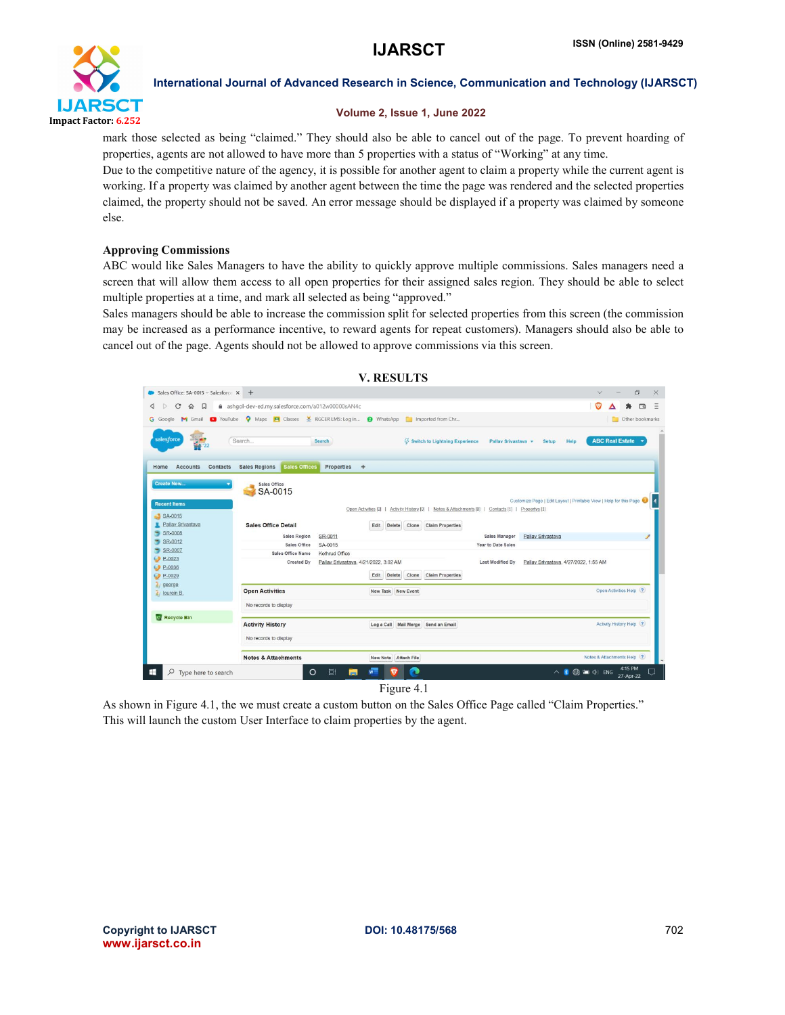

#### Volume 2, Issue 1, June 2022

mark those selected as being "claimed." They should also be able to cancel out of the page. To prevent hoarding of properties, agents are not allowed to have more than 5 properties with a status of "Working" at any time.

Due to the competitive nature of the agency, it is possible for another agent to claim a property while the current agent is working. If a property was claimed by another agent between the time the page was rendered and the selected properties claimed, the property should not be saved. An error message should be displayed if a property was claimed by someone else.

#### Approving Commissions

ABC would like Sales Managers to have the ability to quickly approve multiple commissions. Sales managers need a screen that will allow them access to all open properties for their assigned sales region. They should be able to select multiple properties at a time, and mark all selected as being "approved."

Sales managers should be able to increase the commission split for selected properties from this screen (the commission may be increased as a performance incentive, to reward agents for repeat customers). Managers should also be able to cancel out of the page. Agents should not be allowed to approve commissions via this screen.

|                                                                                                | <b>V. RESULTS</b>                                       |                                                                                                                                         |                                                                    |
|------------------------------------------------------------------------------------------------|---------------------------------------------------------|-----------------------------------------------------------------------------------------------------------------------------------------|--------------------------------------------------------------------|
| Sales Office: SA-0015 ~ Salesforce $\times$ +                                                  |                                                         |                                                                                                                                         | 图<br>X<br>$\vee$                                                   |
| $\mathbf C$<br>ashqol-dev-ed.my.salesforce.com/a012w00000sAN4c<br>$\Omega$<br>្ព<br>◁          |                                                         |                                                                                                                                         | $\Box$                                                             |
| G Google M Gmail C YouTube Q Maps P Classes M RGCER LMS: Log in @ WhatsApp C Imported from Chr |                                                         |                                                                                                                                         | Other bookmarks                                                    |
| salesforce<br>Search                                                                           | Search                                                  | <b>43</b> Switch to Lightning Experience<br>Pallay Srivastava +                                                                         | <b>ABC Real Estate</b><br>Help<br>Setup                            |
| <b>Sales Regions</b><br><b>Contacts</b><br>Sales Offices<br>Home<br><b>Accounts</b>            | <b>Properties</b><br>$+$                                |                                                                                                                                         |                                                                    |
| SA-0015<br><b>Recent Items</b><br>SA-0015<br>Pallay Srivastava<br><b>Sales Office Detail</b>   | Delete<br>Edit                                          | Open Activities [0]   Activity History [0]   Notes & Attachments [0]   Contacts [1]   Propertys [1]<br><b>Claim Properties</b><br>Clone | Customize Page   Edit Layout   Printable View   Help for this Page |
| $S_R$ -0008<br><b>Sales Region</b><br>SR-0012                                                  | SR-0011                                                 | Sales Manager                                                                                                                           | Pallay Srivastava<br>1                                             |
| Sales Office<br>SR-0007<br>Sales Office Name                                                   | SA-0015<br>Kothrud Office                               | Year to Date Sales                                                                                                                      |                                                                    |
| $P-0023$<br><b>Created By</b><br>$P-0036$<br>$P-0029$                                          | Pallav Srivastava, 4/21/2022, 3:02 AM<br>Delete<br>Edit | Last Modified By<br><b>Claim Properties</b><br>Clone                                                                                    | Pallay Srivastava, 4/27/2022, 1:55 AM                              |
| & george<br><b>Open Activities</b><br>$\epsilon$ lourein B.                                    | New Task New Event                                      |                                                                                                                                         | Open Activities Help (?)                                           |
| No records to display                                                                          |                                                         |                                                                                                                                         |                                                                    |
| Recycle Bin<br><b>Activity History</b>                                                         |                                                         | Log a Call Mail Merge Send an Email                                                                                                     | Activity History Help (?)                                          |
| No records to display                                                                          |                                                         |                                                                                                                                         |                                                                    |
| <b>Notes &amp; Attachments</b>                                                                 | New Note Attach File                                    |                                                                                                                                         | Notes & Attachments Help (?)                                       |
| $\Omega$<br>Type here to search                                                                | Ξi<br>$\circ$<br>m                                      |                                                                                                                                         | 4:15 PM<br>$\wedge$ 2<br><b>DE CO</b> ENG<br>27-Apr-22             |

Figure 4.1

As shown in Figure 4.1, the we must create a custom button on the Sales Office Page called "Claim Properties." This will launch the custom User Interface to claim properties by the agent.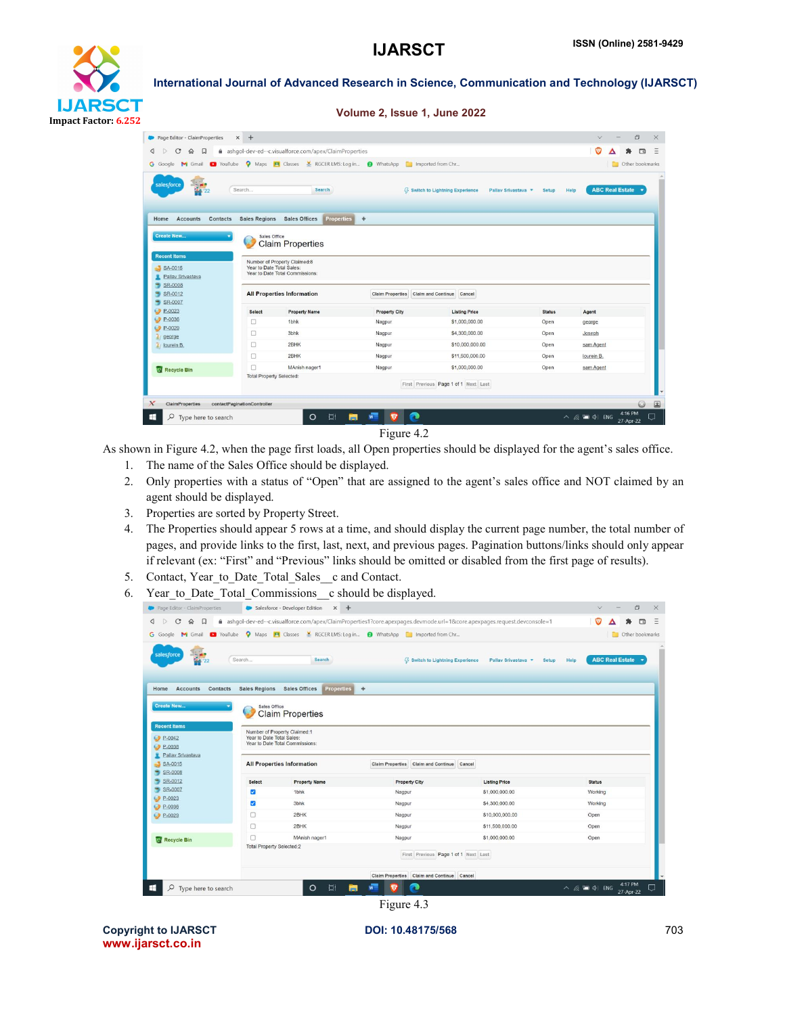

#### Volume 2, Issue 1, June 2022

| G Google<br><b>M</b> Gmail                 | <b>D</b> YouTube                |                                           | A Maps <b>E</b> Classes <b>X</b> RGCER LMS: Log in<br><b>O</b> WhatsApp <b>C</b> Imported from Chr |                                                                |               | <b>D</b> Other bookmarks       |  |
|--------------------------------------------|---------------------------------|-------------------------------------------|----------------------------------------------------------------------------------------------------|----------------------------------------------------------------|---------------|--------------------------------|--|
|                                            |                                 |                                           |                                                                                                    |                                                                |               |                                |  |
| salesforce                                 |                                 |                                           |                                                                                                    |                                                                |               |                                |  |
|                                            | Search                          | <b>Search</b>                             |                                                                                                    | <b>§</b> Switch to Lightning Experience<br>Pallav Srivastava * | Setup         | <b>ABC Real Estate</b><br>Help |  |
|                                            |                                 |                                           |                                                                                                    |                                                                |               |                                |  |
| Home<br><b>Accounts</b><br><b>Contacts</b> | <b>Sales Regions</b>            | <b>Sales Offices</b><br><b>Properties</b> | ۰                                                                                                  |                                                                |               |                                |  |
|                                            |                                 |                                           |                                                                                                    |                                                                |               |                                |  |
| <b>Create New</b>                          | Sales Office                    |                                           |                                                                                                    |                                                                |               |                                |  |
|                                            |                                 | <b>Claim Properties</b>                   |                                                                                                    |                                                                |               |                                |  |
|                                            |                                 |                                           |                                                                                                    |                                                                |               |                                |  |
| <b>Recent Items</b>                        |                                 | Number of Property Claimed:8              |                                                                                                    |                                                                |               |                                |  |
| SA-0015                                    | Year to Date Total Sales:       |                                           |                                                                                                    |                                                                |               |                                |  |
|                                            |                                 | Year to Date Total Commissions:           |                                                                                                    |                                                                |               |                                |  |
| Pallav Srivastava                          |                                 |                                           |                                                                                                    |                                                                |               |                                |  |
| SR-0008                                    |                                 |                                           |                                                                                                    |                                                                |               |                                |  |
|                                            |                                 |                                           |                                                                                                    |                                                                |               |                                |  |
| SR-0012                                    |                                 | <b>All Properties Information</b>         | Claim Properties Claim and Continue                                                                | Cancel                                                         |               |                                |  |
| SR-0007<br>P-0023                          | <b>Select</b>                   | <b>Property Name</b>                      | <b>Property City</b>                                                                               | <b>Listing Price</b>                                           | <b>Status</b> | Agent                          |  |
| P-0036                                     | 0                               | 1bhk                                      | Nagpur                                                                                             | \$1,000,000.00                                                 | Open          | george                         |  |
| $P-0029$                                   | □                               | 3bhk                                      | Nagpur                                                                                             | \$4,300,000.00                                                 | Open          | Joseph                         |  |
| george<br>lourein B.                       | Ω                               | 2BHK                                      | Nagpur                                                                                             | \$10,000,000.00                                                | Open          | sam Agent                      |  |
|                                            | Ω                               | 2BHK                                      | Nagpur                                                                                             | \$11,500,000,00                                                | Open          | lourein B.                     |  |
|                                            | □                               | MAnish nager1                             | Nagpur                                                                                             | \$1,000,000.00                                                 | Open          | sam Agent                      |  |
| Recycle Bin                                | <b>Total Property Selected:</b> |                                           |                                                                                                    |                                                                |               |                                |  |
|                                            |                                 |                                           |                                                                                                    | First Previous Page 1 of 1 Next Last                           |               |                                |  |

Figure 4.2

As shown in Figure 4.2, when the page first loads, all Open properties should be displayed for the agent's sales office.

- 1. The name of the Sales Office should be displayed.
- 2. Only properties with a status of "Open" that are assigned to the agent's sales office and NOT claimed by an agent should be displayed.
- 3. Properties are sorted by Property Street.
- 4. The Properties should appear 5 rows at a time, and should display the current page number, the total number of pages, and provide links to the first, last, next, and previous pages. Pagination buttons/links should only appear if relevant (ex: "First" and "Previous" links should be omitted or disabled from the first page of results).
- 5. Contact, Year\_to\_Date\_Total\_Sales\_\_c and Contact.
- 6. Year to Date Total Commissions c should be displayed.

| $\mathcal{C}$<br>D.<br>$\Omega$<br>口                                                                                  |                                           |                                                                                                                                                |                                                                                              | ashqol-dev-ed--c.visualforce.com/apex/ClaimProperties1?core.apexpages.devmode.url=1&core.apexpages.request.devconsole=1 | га                             |
|-----------------------------------------------------------------------------------------------------------------------|-------------------------------------------|------------------------------------------------------------------------------------------------------------------------------------------------|----------------------------------------------------------------------------------------------|-------------------------------------------------------------------------------------------------------------------------|--------------------------------|
| <b>G</b> Google                                                                                                       |                                           |                                                                                                                                                | M Gmail a YouTube Q Maps <b>E</b> Classes M RGCER LMS: Log in @ WhatsApp a Imported from Chr |                                                                                                                         | Other bookmarks                |
| salesforce<br>$+22$                                                                                                   | Search                                    | <b>Search</b>                                                                                                                                  | <b>43 Switch to Lightning Experience</b>                                                     | Pallav Srivastava *<br>Setup                                                                                            | <b>ABC Real Estate</b><br>Help |
| Accounts<br>Contacts<br>Home<br><b>Create New</b><br><b>Recent Items</b><br>$P-0042$<br>$P-0038$<br>Pallay Srivastava | Sales Office<br>Year to Date Total Sales: | Sales Regions Sales Offices<br><b>Properties</b><br><b>Claim Properties</b><br>Number of Property Claimed:1<br>Year to Date Total Commissions: | $\ddot{\phantom{1}}$                                                                         |                                                                                                                         |                                |
| SA-0015<br>$S_R$ -0008                                                                                                |                                           | <b>All Properties Information</b>                                                                                                              | Claim Properties Claim and Continue Cancel                                                   |                                                                                                                         |                                |
| SR-0012<br>,                                                                                                          | <b>Select</b>                             | <b>Property Name</b>                                                                                                                           | <b>Property City</b>                                                                         | <b>Listing Price</b>                                                                                                    | <b>Status</b>                  |
| SR-0007                                                                                                               | Ø                                         | 1 <sub>bhk</sub>                                                                                                                               | Nagpur                                                                                       | \$1,000,000.00                                                                                                          | Working                        |
| P-0023<br>P-0036                                                                                                      | ☑                                         | 3bhk                                                                                                                                           | Nagpur                                                                                       | \$4,300,000.00                                                                                                          | Working                        |
| P-0029                                                                                                                | n                                         | 2BHK                                                                                                                                           | Nagpur                                                                                       | \$10,000,000.00                                                                                                         | Open                           |
|                                                                                                                       | Ω                                         | 2BHK                                                                                                                                           | Nagpur                                                                                       | \$11,500,000.00                                                                                                         | Open                           |
| Recycle Bin                                                                                                           | $\Box$                                    | MAnish nager1                                                                                                                                  | Nagpur                                                                                       | \$1,000,000.00                                                                                                          | Open                           |
|                                                                                                                       | <b>Total Property Selected:2</b>          |                                                                                                                                                | First Previous Page 1 of 1 Next Last                                                         |                                                                                                                         |                                |
|                                                                                                                       |                                           |                                                                                                                                                |                                                                                              |                                                                                                                         |                                |
|                                                                                                                       |                                           |                                                                                                                                                | Claim Properties Claim and Continue Cancel                                                   |                                                                                                                         |                                |

Copyright to IJARSCT **DOI: 10.48175/568 POI: 10.48175/568 POI: 10.48175/568** www.ijarsct.co.in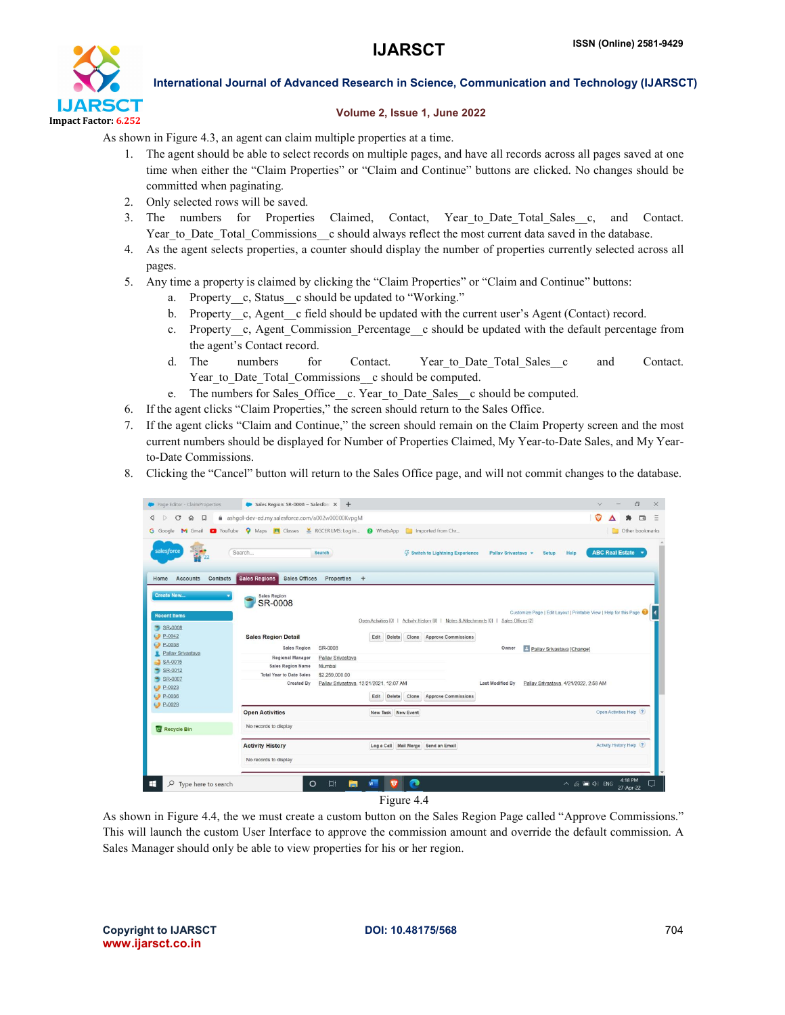

#### Volume 2, Issue 1, June 2022

As shown in Figure 4.3, an agent can claim multiple properties at a time.

- 1. The agent should be able to select records on multiple pages, and have all records across all pages saved at one time when either the "Claim Properties" or "Claim and Continue" buttons are clicked. No changes should be committed when paginating.
- 2. Only selected rows will be saved.
- 3. The numbers for Properties Claimed, Contact, Year to Date Total Sales c, and Contact. Year to Date Total Commissions c should always reflect the most current data saved in the database.
- 4. As the agent selects properties, a counter should display the number of properties currently selected across all pages.
- 5. Any time a property is claimed by clicking the "Claim Properties" or "Claim and Continue" buttons:
	- a. Property c, Status c should be updated to "Working."
	- b. Property\_c, Agent\_c field should be updated with the current user's Agent (Contact) record.
	- c. Property c, Agent Commission Percentage c should be updated with the default percentage from the agent's Contact record.
	- d. The numbers for Contact. Year to Date Total Sales c and Contact. Year to Date Total Commissions c should be computed.
	- e. The numbers for Sales\_Office\_\_c. Year\_to\_Date\_Sales\_\_c should be computed.
- 6. If the agent clicks "Claim Properties," the screen should return to the Sales Office.
- 7. If the agent clicks "Claim and Continue," the screen should remain on the Claim Property screen and the most current numbers should be displayed for Number of Properties Claimed, My Year-to-Date Sales, and My Yearto-Date Commissions.
- 8. Clicking the "Cancel" button will return to the Sales Office page, and will not commit changes to the database.

| Page Editor - ClaimProperties                                                          |                                                                                                | Sales Region: SR-0008 ~ Salesfor: X +   |                    |                                                                                          |                     |                                                                    |  |                              |
|----------------------------------------------------------------------------------------|------------------------------------------------------------------------------------------------|-----------------------------------------|--------------------|------------------------------------------------------------------------------------------|---------------------|--------------------------------------------------------------------|--|------------------------------|
| $\mathbf C$<br>$\hat{p}$ $\Box$<br>$\triangleright$                                    | ashqol-dev-ed.my.salesforce.com/a002w00000KvpgM                                                |                                         |                    |                                                                                          |                     |                                                                    |  | $\Box$                       |
|                                                                                        | G Google M Gmail C YouTube O Maps H Classes M RGCER LMS: Log in O WhatsApp C Imported from Chr |                                         |                    |                                                                                          |                     |                                                                    |  | <b>Durie</b> Other bookmarks |
| salesforce                                                                             | Search                                                                                         | Search                                  |                    | <b>4 Switch to Lightning Experience</b>                                                  | Pallav Srivastava + | Help<br>Setup                                                      |  | <b>ABC Real Estate v</b>     |
| <b>Accounts</b><br>Contacts<br>Home<br><b>Create New</b>                               | <b>Sales Regions</b><br><b>Sales Offices</b><br><b>Sales Region</b><br>SR-0008                 | Properties                              | $+$                |                                                                                          |                     | Customize Page   Edit Layout   Printable View   Help for this Page |  |                              |
| <b>Recent Items</b><br>$S_R - 0008$                                                    |                                                                                                |                                         |                    | Open Activities [0]   Activity History [0]   Notes & Attachments [0]   Sales Offices [2] |                     |                                                                    |  |                              |
| $P - 0042$<br>$P-0038$                                                                 | <b>Sales Region Detail</b>                                                                     |                                         | Edit<br>Delete     | <b>Approve Commissions</b><br>Clone                                                      |                     |                                                                    |  |                              |
| Pallav Srivastava                                                                      | <b>Sales Region</b>                                                                            | SR-0008                                 |                    |                                                                                          | Owner               | Pallav Srivastava [Change]                                         |  |                              |
|                                                                                        | Regional Manager                                                                               | Pallav Srivastava                       |                    |                                                                                          |                     |                                                                    |  |                              |
|                                                                                        |                                                                                                |                                         |                    |                                                                                          |                     |                                                                    |  |                              |
|                                                                                        | <b>Sales Region Name</b>                                                                       | Mumbai                                  |                    |                                                                                          |                     |                                                                    |  |                              |
|                                                                                        | <b>Total Year to Date Sales</b>                                                                | \$2,259,000.00                          |                    |                                                                                          |                     |                                                                    |  |                              |
|                                                                                        | Created By                                                                                     | Pallav Srivastava, 12/21/2021, 12:07 AM |                    |                                                                                          | Last Modified By    | Pallav Srivastava, 4/21/2022, 2:58 AM                              |  |                              |
|                                                                                        |                                                                                                |                                         | Edit Delete        | Clone<br><b>Approve Commissions</b>                                                      |                     |                                                                    |  |                              |
|                                                                                        | <b>Open Activities</b>                                                                         |                                         | New Task New Event |                                                                                          |                     |                                                                    |  | Open Activities Help (?)     |
|                                                                                        | No records to display                                                                          |                                         |                    |                                                                                          |                     |                                                                    |  |                              |
|                                                                                        | <b>Activity History</b>                                                                        |                                         |                    | Log a Call Mail Merge Send an Email                                                      |                     |                                                                    |  | Activity History Help (?)    |
| $S_A$ -0015<br>$S_R$ -0012<br>SR-0007<br>$P-0023$<br>P-0036<br>C P-0029<br>Recycle Bin | No records to display                                                                          |                                         |                    |                                                                                          |                     |                                                                    |  |                              |

As shown in Figure 4.4, the we must create a custom button on the Sales Region Page called "Approve Commissions." This will launch the custom User Interface to approve the commission amount and override the default commission. A Sales Manager should only be able to view properties for his or her region.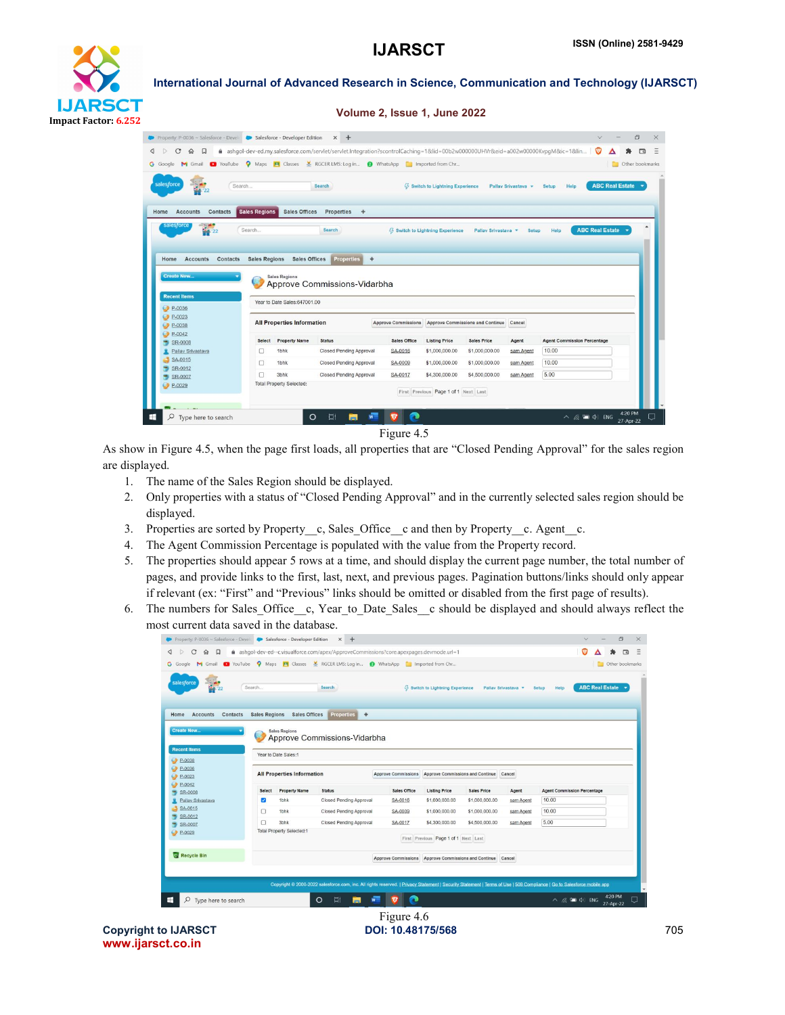

| Property: P-0036 ~ Salesforce - Devel Consistence - Developer Edition |                      |                                   | $x +$                                                                                                                          |                            |                                          |                                  |                     | $\vee$                             |                                      | $\Box$ |
|-----------------------------------------------------------------------|----------------------|-----------------------------------|--------------------------------------------------------------------------------------------------------------------------------|----------------------------|------------------------------------------|----------------------------------|---------------------|------------------------------------|--------------------------------------|--------|
| $\mathcal{C}$<br>$\triangleright$<br>俞<br>$\Box$                      |                      |                                   | m ashqol-dev-ed.my.salesforce.com/servlet/servlet.Integration?scontrolCaching=1&lid=00b2w000000UHVr&eid=a002w00000KvpgM⁣=1&lin |                            |                                          |                                  |                     | O                                  |                                      | ⊓a     |
| <b>D</b> YouTube<br>G Google<br>M<br>Gmail                            |                      |                                   | Maps <b>PI</b> Classes <b>X</b> RGCER LMS: Log in<br><b>Q</b> WhatsApp <b>C</b> Imported from Chr                              |                            |                                          |                                  |                     |                                    | <b>Communication</b> Other bookmarks |        |
| salesforce<br>$\mathbb{R}^n$<br>Search<br>₩                           |                      |                                   | Search                                                                                                                         |                            | <b>§ Switch to Lightning Experience</b>  |                                  | Pallay Srivastava + | Help<br>Setup                      | <b>ABC Real Estate</b>               |        |
| Contacts<br><b>Accounts</b><br>Home                                   | <b>Sales Regions</b> | <b>Sales Offices</b>              | <b>Properties</b><br>÷                                                                                                         |                            |                                          |                                  |                     |                                    |                                      |        |
| salesforce<br>$\frac{1}{2}$ $\frac{1}{2}$                             | Search               |                                   | Search                                                                                                                         |                            | <b>43 Switch to Lightning Experience</b> | Pallay Srivastava                | Setup               | <b>ABC Real Estate</b><br>Help     |                                      |        |
|                                                                       |                      |                                   |                                                                                                                                |                            |                                          |                                  |                     |                                    |                                      |        |
|                                                                       |                      |                                   |                                                                                                                                |                            |                                          |                                  |                     |                                    |                                      |        |
|                                                                       |                      |                                   |                                                                                                                                |                            |                                          |                                  |                     |                                    |                                      |        |
| <b>Contacts</b><br>Home<br><b>Accounts</b>                            | <b>Sales Regions</b> | <b>Sales Offices</b>              | $\ddot{\Phi}$<br><b>Properties</b>                                                                                             |                            |                                          |                                  |                     |                                    |                                      |        |
| <b>Create New</b>                                                     |                      | <b>Sales Regions</b>              |                                                                                                                                |                            |                                          |                                  |                     |                                    |                                      |        |
|                                                                       |                      |                                   | Approve Commissions-Vidarbha                                                                                                   |                            |                                          |                                  |                     |                                    |                                      |        |
| <b>Recent Items</b>                                                   |                      | Year to Date Sales:647001.00      |                                                                                                                                |                            |                                          |                                  |                     |                                    |                                      |        |
| $P-0036$<br>$P-0023$<br>$P-0038$                                      |                      | <b>All Properties Information</b> |                                                                                                                                | <b>Approve Commissions</b> |                                          | Approve Commissions and Continue | Cancel              |                                    |                                      |        |
| $P-0042$<br>SR-0008                                                   | <b>Select</b>        | <b>Property Name</b>              | <b>Status</b>                                                                                                                  | <b>Sales Office</b>        | <b>Listing Price</b>                     | <b>Sales Price</b>               | Agent               | <b>Agent Commission Percentage</b> |                                      |        |
| Pallav Srivastava                                                     | Ω                    | 1 <sub>bhk</sub>                  | <b>Closed Pending Approval</b>                                                                                                 | SA-0016                    | \$1,000,000.00                           | \$1,000,000.00                   | sam Agent           | 10.00                              |                                      |        |
| SA-0015                                                               | o                    | 1 <sub>bhk</sub>                  | <b>Closed Pending Approval</b>                                                                                                 | SA-0009                    | \$1,000,000.00                           | \$1,000,000.00                   | sam Agent           | 10.00                              |                                      |        |
| $S_R$ -0012                                                           | ∩                    | 3bhk                              | <b>Closed Pending Approval</b>                                                                                                 | SA-0017                    | \$4,300,000.00                           | \$4,500,000,00                   | sam Agent           | 5.00                               |                                      |        |
| $S_R$ -0007<br>$P-0029$                                               |                      | <b>Total Property Selected:</b>   |                                                                                                                                |                            | First Previous Page 1 of 1 Next Last     |                                  |                     |                                    |                                      |        |

Figure 4.5

As show in Figure 4.5, when the page first loads, all properties that are "Closed Pending Approval" for the sales region are displayed.

- 1. The name of the Sales Region should be displayed.
- 2. Only properties with a status of "Closed Pending Approval" and in the currently selected sales region should be displayed.
- 3. Properties are sorted by Property\_c, Sales\_Office\_c and then by Property\_c. Agent\_c.
- 4. The Agent Commission Percentage is populated with the value from the Property record.
- 5. The properties should appear 5 rows at a time, and should display the current page number, the total number of pages, and provide links to the first, last, next, and previous pages. Pagination buttons/links should only appear if relevant (ex: "First" and "Previous" links should be omitted or disabled from the first page of results).
- 6. The numbers for Sales\_Office\_\_c, Year\_to\_Date\_Sales\_\_c should be displayed and should always reflect the most current data saved in the database.

|                                                                                                  |                         | Property: P-0036 ~ Salesforce - Devel Consistence - Developer Edition | $\times$ +                                                                                                                                                             |                            |                                          |                    |                     |                                    | $\vee$ |                          | $\Box$          |
|--------------------------------------------------------------------------------------------------|-------------------------|-----------------------------------------------------------------------|------------------------------------------------------------------------------------------------------------------------------------------------------------------------|----------------------------|------------------------------------------|--------------------|---------------------|------------------------------------|--------|--------------------------|-----------------|
| С<br>口<br>◁<br>$\Omega$<br>D                                                                     |                         |                                                                       | A ashqol-dev-ed--c.visualforce.com/apex/ApproveCommissions?core.apexpages.devmode.url=1                                                                                |                            |                                          |                    |                     |                                    |        |                          | <b>ra</b>       |
| G Google                                                                                         |                         |                                                                       | M Gmail a YouTube Q Maps E Classes M RGCER LMS: Log in @ WhatsApp C Imported from Chr                                                                                  |                            |                                          |                    |                     |                                    |        |                          | Other bookmarks |
| salesforce                                                                                       | Search                  |                                                                       | Search                                                                                                                                                                 |                            | <b>43 Switch to Lightning Experience</b> |                    | Pallav Srivastava * | <b>Help</b><br><b>Setup</b>        |        | <b>ABC Real Estate v</b> |                 |
| <b>Accounts</b><br><b>Contacts</b><br>Home<br><b>Create New</b><br><b>Recent Items</b><br>P-0038 | <b>Sales Regions</b>    | <b>Sales Offices</b><br><b>Sales Regions</b><br>Year to Date Sales:1  | <b>Properties</b><br>۰<br>Approve Commissions-Vidarbha                                                                                                                 |                            |                                          |                    |                     |                                    |        |                          |                 |
| C P-0036<br>P-0023                                                                               |                         | <b>All Properties Information</b>                                     |                                                                                                                                                                        | <b>Approve Commissions</b> | Approve Commissions and Continue Cancel  |                    |                     |                                    |        |                          |                 |
| C P-0042                                                                                         | <b>Select</b>           | <b>Property Name</b>                                                  | <b>Status</b>                                                                                                                                                          | <b>Sales Office</b>        | <b>Listing Price</b>                     | <b>Sales Price</b> | Agent               | <b>Agent Commission Percentage</b> |        |                          |                 |
|                                                                                                  | $\overline{\mathbf{z}}$ | 1 <sub>bhk</sub>                                                      | <b>Closed Pending Approval</b>                                                                                                                                         | SA-0016                    | \$1,000,000.00                           | \$1,000,000.00     | sam Agent           | 10.00                              |        |                          |                 |
| SR-0008<br>÷,<br>Pallav Srivastava                                                               |                         |                                                                       |                                                                                                                                                                        |                            |                                          |                    |                     | 10.00                              |        |                          |                 |
| SA-0015                                                                                          | п                       | 1 <sub>bhk</sub>                                                      | <b>Closed Pending Approval</b>                                                                                                                                         | SA-0009                    | \$1,000,000,00                           | \$1,000,000.00     | sam Agent           |                                    |        |                          |                 |
| SR-0012<br>SR-0007                                                                               | о                       | 3bhk                                                                  | <b>Closed Pending Approval</b>                                                                                                                                         | SA-0017                    | \$4,300,000.00                           | \$4,500,000.00     | sam Agent           | 5.00                               |        |                          |                 |
|                                                                                                  |                         | <b>Total Property Selected:1</b>                                      |                                                                                                                                                                        |                            | First Previous Page 1 of 1 Next Last     |                    |                     |                                    |        |                          |                 |
| $P-0029$<br>Recycle Bin                                                                          |                         |                                                                       |                                                                                                                                                                        | <b>Approve Commissions</b> | Approve Commissions and Continue Cancel  |                    |                     |                                    |        |                          |                 |
|                                                                                                  |                         |                                                                       | Copyright @ 2000-2022 salesforce.com, inc. All rights reserved.   Privacy Statement   Security Statement   Terms of Use   508 Compliance   Go to Salesforce mobile app |                            |                                          |                    |                     |                                    |        |                          |                 |

Copyright to IJARSCT **DOI: 10.48175/568 Properties and COVID-10.48175/568 Properties and COVID-10.48175/568** www.ijarsct.co.in

Figure 4.6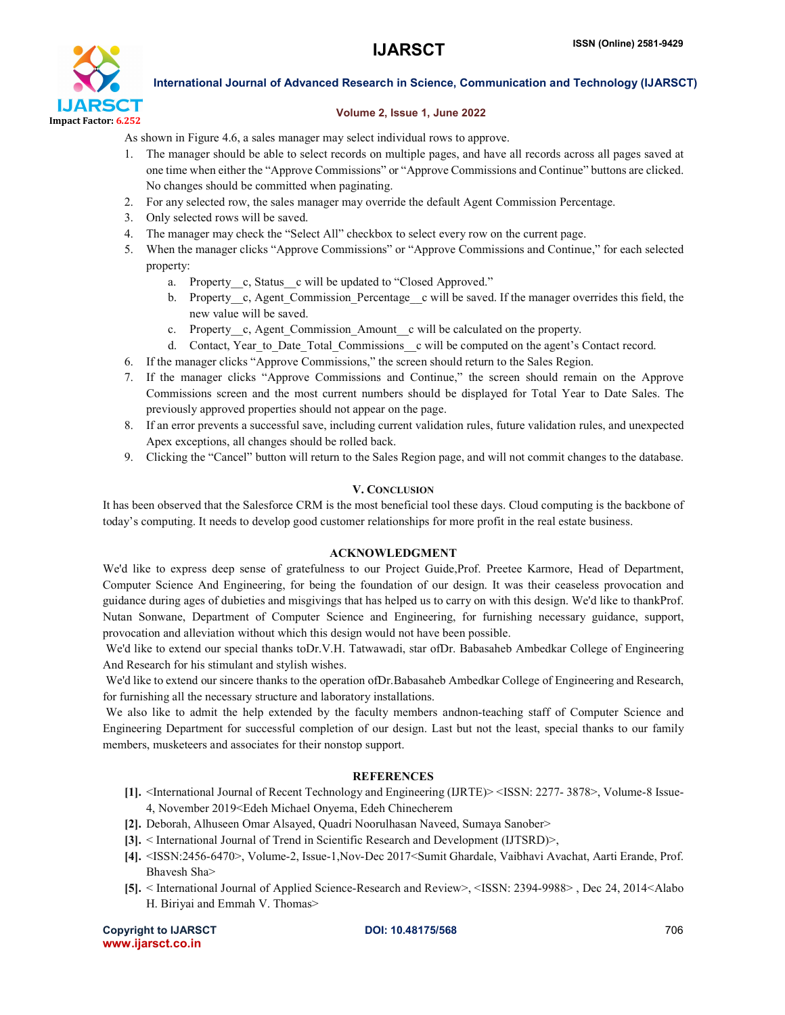

#### Volume 2, Issue 1, June 2022

As shown in Figure 4.6, a sales manager may select individual rows to approve.

- 1. The manager should be able to select records on multiple pages, and have all records across all pages saved at one time when either the "Approve Commissions" or "Approve Commissions and Continue" buttons are clicked. No changes should be committed when paginating.
- 2. For any selected row, the sales manager may override the default Agent Commission Percentage.
- 3. Only selected rows will be saved.
- 4. The manager may check the "Select All" checkbox to select every row on the current page.
- 5. When the manager clicks "Approve Commissions" or "Approve Commissions and Continue," for each selected property:
	- a. Property c, Status c will be updated to "Closed Approved."
	- b. Property c, Agent Commission Percentage c will be saved. If the manager overrides this field, the new value will be saved.
	- c. Property c, Agent Commission Amount c will be calculated on the property.
	- d. Contact, Year\_to\_Date\_Total\_Commissions\_\_c will be computed on the agent's Contact record.
- 6. If the manager clicks "Approve Commissions," the screen should return to the Sales Region.
- 7. If the manager clicks "Approve Commissions and Continue," the screen should remain on the Approve Commissions screen and the most current numbers should be displayed for Total Year to Date Sales. The previously approved properties should not appear on the page.
- 8. If an error prevents a successful save, including current validation rules, future validation rules, and unexpected Apex exceptions, all changes should be rolled back.
- 9. Clicking the "Cancel" button will return to the Sales Region page, and will not commit changes to the database.

#### V. CONCLUSION

It has been observed that the Salesforce CRM is the most beneficial tool these days. Cloud computing is the backbone of today's computing. It needs to develop good customer relationships for more profit in the real estate business.

#### ACKNOWLEDGMENT

We'd like to express deep sense of gratefulness to our Project Guide,Prof. Preetee Karmore, Head of Department, Computer Science And Engineering, for being the foundation of our design. It was their ceaseless provocation and guidance during ages of dubieties and misgivings that has helped us to carry on with this design. We'd like to thankProf. Nutan Sonwane, Department of Computer Science and Engineering, for furnishing necessary guidance, support, provocation and alleviation without which this design would not have been possible.

We'd like to extend our special thanks toDr.V.H. Tatwawadi, star ofDr. Babasaheb Ambedkar College of Engineering And Research for his stimulant and stylish wishes.

We'd like to extend our sincere thanks to the operation ofDr.Babasaheb Ambedkar College of Engineering and Research, for furnishing all the necessary structure and laboratory installations.

We also like to admit the help extended by the faculty members andnon-teaching staff of Computer Science and Engineering Department for successful completion of our design. Last but not the least, special thanks to our family members, musketeers and associates for their nonstop support.

#### **REFERENCES**

- [1]. <International Journal of Recent Technology and Engineering (IJRTE)> <ISSN: 2277- 3878>, Volume-8 Issue-4, November 2019<Edeh Michael Onyema, Edeh Chinecherem
- [2]. Deborah, Alhuseen Omar Alsayed, Quadri Noorulhasan Naveed, Sumaya Sanober>
- [3]. < International Journal of Trend in Scientific Research and Development (IJTSRD)>,
- [4]. <ISSN:2456-6470>, Volume-2, Issue-1,Nov-Dec 2017<Sumit Ghardale, Vaibhavi Avachat, Aarti Erande, Prof. Bhavesh Sha>
- [5]. < International Journal of Applied Science-Research and Review>, <ISSN: 2394-9988> , Dec 24, 2014<Alabo H. Biriyai and Emmah V. Thomas>

Copyright to IJARSCT **DOI: 10.48175/568 DOI: 10.48175/568 POIE: 10.48175/568** www.ijarsct.co.in